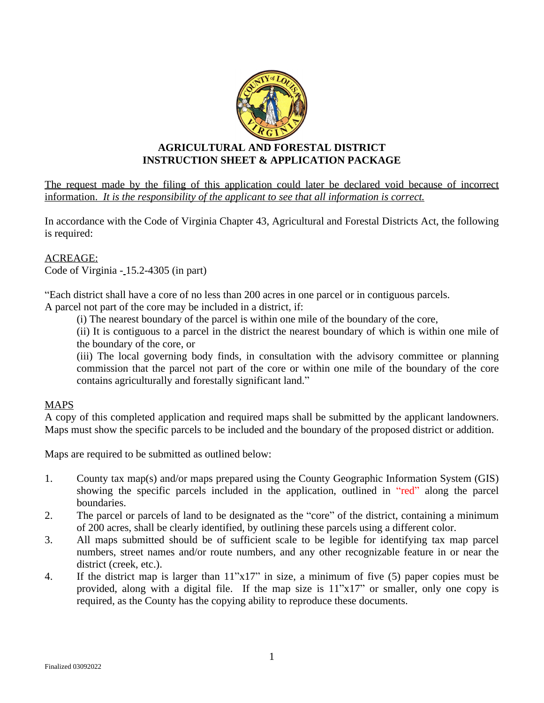

# **AGRICULTURAL AND FORESTAL DISTRICT INSTRUCTION SHEET & APPLICATION PACKAGE**

The request made by the filing of this application could later be declared void because of incorrect information. *It is the responsibility of the applicant to see that all information is correct.*

In accordance with the Code of Virginia Chapter 43, Agricultural and Forestal Districts Act, the following is required:

#### ACREAGE: Code of Virginia - 15.2-4305 (in part)

"Each district shall have a core of no less than 200 acres in one parcel or in contiguous parcels.

A parcel not part of the core may be included in a district, if:

(i) The nearest boundary of the parcel is within one mile of the boundary of the core,

(ii) It is contiguous to a parcel in the district the nearest boundary of which is within one mile of the boundary of the core, or

(iii) The local governing body finds, in consultation with the advisory committee or planning commission that the parcel not part of the core or within one mile of the boundary of the core contains agriculturally and forestally significant land."

# **MAPS**

A copy of this completed application and required maps shall be submitted by the applicant landowners. Maps must show the specific parcels to be included and the boundary of the proposed district or addition.

Maps are required to be submitted as outlined below:

- 1. County tax map(s) and/or maps prepared using the County Geographic Information System (GIS) showing the specific parcels included in the application, outlined in "red" along the parcel boundaries.
- 2. The parcel or parcels of land to be designated as the "core" of the district, containing a minimum of 200 acres, shall be clearly identified, by outlining these parcels using a different color.
- 3. All maps submitted should be of sufficient scale to be legible for identifying tax map parcel numbers, street names and/or route numbers, and any other recognizable feature in or near the district (creek, etc.).
- 4. If the district map is larger than 11"x17" in size, a minimum of five (5) paper copies must be provided, along with a digital file. If the map size is 11"x17" or smaller, only one copy is required, as the County has the copying ability to reproduce these documents.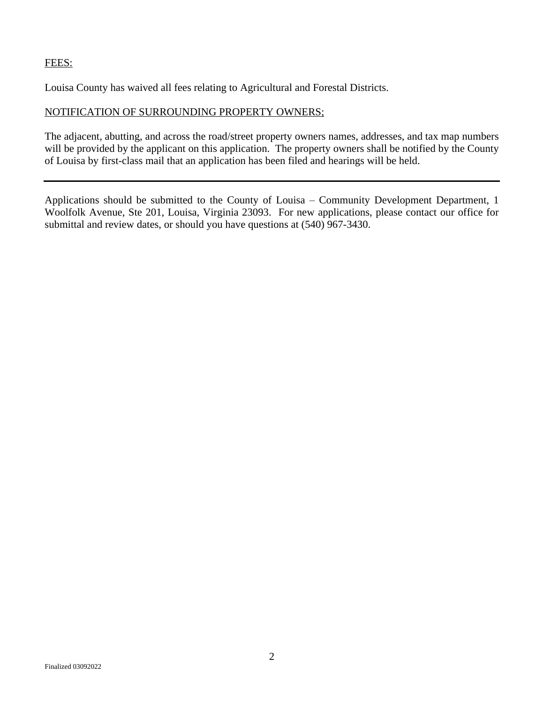### FEES:

Louisa County has waived all fees relating to Agricultural and Forestal Districts.

### NOTIFICATION OF SURROUNDING PROPERTY OWNERS;

The adjacent, abutting, and across the road/street property owners names, addresses, and tax map numbers will be provided by the applicant on this application. The property owners shall be notified by the County of Louisa by first-class mail that an application has been filed and hearings will be held.

Applications should be submitted to the County of Louisa – Community Development Department, 1 Woolfolk Avenue, Ste 201, Louisa, Virginia 23093. For new applications, please contact our office for submittal and review dates, or should you have questions at (540) 967-3430.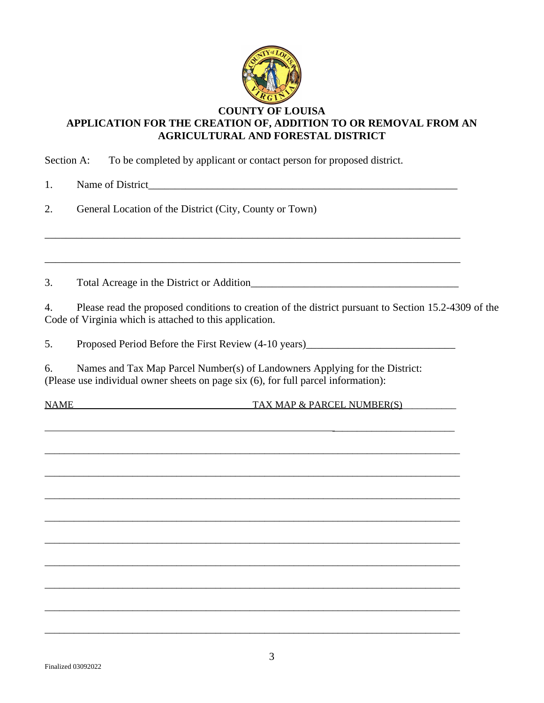

## **COUNTY OF LOUISA APPLICATION FOR THE CREATION OF, ADDITION TO OR REMOVAL FROM AN AGRICULTURAL AND FORESTAL DISTRICT**

Section A: To be completed by applicant or contact person for proposed district.

1. Name of District

2. General Location of the District (City, County or Town)

3. Total Acreage in the District or Addition\_\_\_\_\_\_\_\_\_\_\_\_\_\_\_\_\_\_\_\_\_\_\_\_\_\_\_\_\_\_\_\_\_\_\_\_\_\_\_

4. Please read the proposed conditions to creation of the district pursuant to Section 15.2-4309 of the Code of Virginia which is attached to this application.

5. Proposed Period Before the First Review (4-10 years)

\_\_\_\_\_\_\_\_\_\_\_\_\_\_\_\_\_\_\_\_\_\_\_\_\_

\_\_\_\_\_\_\_\_\_\_\_\_\_\_\_\_\_\_\_\_\_\_\_\_\_\_\_\_\_\_\_\_\_\_\_\_\_\_\_\_\_\_\_\_\_\_\_\_\_\_\_\_\_\_\_\_\_\_\_\_\_\_\_\_\_\_\_\_\_\_\_\_\_\_\_\_\_\_\_\_\_\_\_\_\_

\_\_\_\_\_\_\_\_\_\_\_\_\_\_\_\_\_\_\_\_\_\_\_\_\_\_\_\_\_\_\_\_\_\_\_\_\_\_\_\_\_\_\_\_\_\_\_\_\_\_\_\_\_\_\_\_\_\_\_\_\_\_\_\_\_\_\_\_\_\_\_\_\_\_\_\_\_\_\_\_\_\_\_\_\_

\_\_\_\_\_\_\_\_\_\_\_\_\_\_\_\_\_\_\_\_\_\_\_\_\_\_\_\_\_\_\_\_\_\_\_\_\_\_\_\_\_\_\_\_\_\_\_\_\_\_\_\_\_\_\_\_\_\_\_\_\_\_\_\_\_\_\_\_\_\_\_\_\_\_\_\_\_\_\_\_\_\_\_\_\_

\_\_\_\_\_\_\_\_\_\_\_\_\_\_\_\_\_\_\_\_\_\_\_\_\_\_\_\_\_\_\_\_\_\_\_\_\_\_\_\_\_\_\_\_\_\_\_\_\_\_\_\_\_\_\_\_\_\_\_\_\_\_\_\_\_\_\_\_\_\_\_\_\_\_\_\_\_\_\_\_\_\_\_\_\_

\_\_\_\_\_\_\_\_\_\_\_\_\_\_\_\_\_\_\_\_\_\_\_\_\_\_\_\_\_\_\_\_\_\_\_\_\_\_\_\_\_\_\_\_\_\_\_\_\_\_\_\_\_\_\_\_\_\_\_\_\_\_\_\_\_\_\_\_\_\_\_\_\_\_\_\_\_\_\_\_\_\_\_\_\_

\_\_\_\_\_\_\_\_\_\_\_\_\_\_\_\_\_\_\_\_\_\_\_\_\_\_\_\_\_\_\_\_\_\_\_\_\_\_\_\_\_\_\_\_\_\_\_\_\_\_\_\_\_\_\_\_\_\_\_\_\_\_\_\_\_\_\_\_\_\_\_\_\_\_\_\_\_\_\_\_\_\_\_\_\_

\_\_\_\_\_\_\_\_\_\_\_\_\_\_\_\_\_\_\_\_\_\_\_\_\_\_\_\_\_\_\_\_\_\_\_\_\_\_\_\_\_\_\_\_\_\_\_\_\_\_\_\_\_\_\_\_\_\_\_\_\_\_\_\_\_\_\_\_\_\_\_\_\_\_\_\_\_\_\_\_\_\_\_\_\_

\_\_\_\_\_\_\_\_\_\_\_\_\_\_\_\_\_\_\_\_\_\_\_\_\_\_\_\_\_\_\_\_\_\_\_\_\_\_\_\_\_\_\_\_\_\_\_\_\_\_\_\_\_\_\_\_\_\_\_\_\_\_\_\_\_\_\_\_\_\_\_\_\_\_\_\_\_\_\_\_\_\_\_\_\_

\_\_\_\_\_\_\_\_\_\_\_\_\_\_\_\_\_\_\_\_\_\_\_\_\_\_\_\_\_\_\_\_\_\_\_\_\_\_\_\_\_\_\_\_\_\_\_\_\_\_\_\_\_\_\_\_\_\_\_\_\_\_\_\_\_\_\_\_\_\_\_\_\_\_\_\_\_\_\_\_\_\_\_\_\_

\_\_\_\_\_\_\_\_\_\_\_\_\_\_\_\_\_\_\_\_\_\_\_\_\_\_\_\_\_\_\_\_\_\_\_\_\_\_\_\_\_\_\_\_\_\_\_\_\_\_\_\_\_\_\_\_\_\_\_\_\_\_\_\_\_\_\_\_\_\_\_\_\_\_\_\_\_\_

\_\_\_\_\_\_\_\_\_\_\_\_\_\_\_\_\_\_\_\_\_\_\_\_\_\_\_\_\_\_\_\_\_\_\_\_\_\_\_\_\_\_\_\_\_\_\_\_\_\_\_\_\_\_\_\_\_\_\_\_\_\_\_\_\_\_\_\_\_\_\_\_\_\_\_\_\_\_

6. Names and Tax Map Parcel Number(s) of Landowners Applying for the District: (Please use individual owner sheets on page six (6), for full parcel information):

NAME TAX MAP & PARCEL NUMBER(S)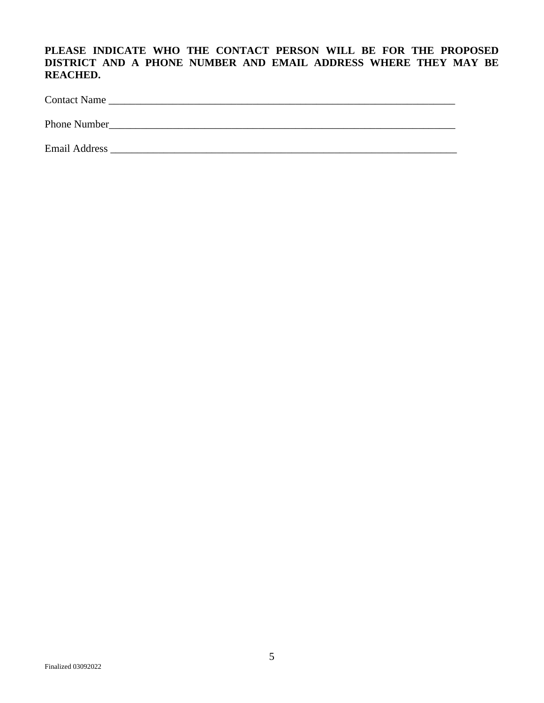## **PLEASE INDICATE WHO THE CONTACT PERSON WILL BE FOR THE PROPOSED DISTRICT AND A PHONE NUMBER AND EMAIL ADDRESS WHERE THEY MAY BE REACHED.**

Contact Name \_\_\_\_\_\_\_\_\_\_\_\_\_\_\_\_\_\_\_\_\_\_\_\_\_\_\_\_\_\_\_\_\_\_\_\_\_\_\_\_\_\_\_\_\_\_\_\_\_\_\_\_\_\_\_\_\_\_\_\_\_\_\_\_\_

Phone Number\_\_\_\_\_\_\_\_\_\_\_\_\_\_\_\_\_\_\_\_\_\_\_\_\_\_\_\_\_\_\_\_\_\_\_\_\_\_\_\_\_\_\_\_\_\_\_\_\_\_\_\_\_\_\_\_\_\_\_\_\_\_\_\_\_

Email Address \_\_\_\_\_\_\_\_\_\_\_\_\_\_\_\_\_\_\_\_\_\_\_\_\_\_\_\_\_\_\_\_\_\_\_\_\_\_\_\_\_\_\_\_\_\_\_\_\_\_\_\_\_\_\_\_\_\_\_\_\_\_\_\_\_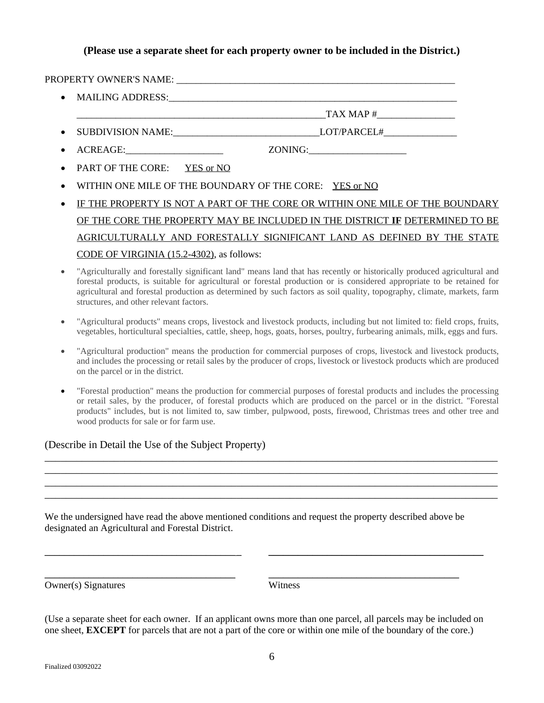#### **(Please use a separate sheet for each property owner to be included in the District.)**

|                                           | • MAILING ADDRESS: 2008 2009 2009 2010 2020 2020 2030 2040 2050 2060 2071 2080 2091 2009 2010 2020 2030 2040 20 |
|-------------------------------------------|-----------------------------------------------------------------------------------------------------------------|
|                                           | $TAX MAP \#$                                                                                                    |
|                                           |                                                                                                                 |
|                                           | ZONING:                                                                                                         |
| • PART OF THE CORE: YES or NO             |                                                                                                                 |
|                                           | WITHIN ONE MILE OF THE BOUNDARY OF THE CORE: YES or NO                                                          |
|                                           | IF THE PROPERTY IS NOT A PART OF THE CORE OR WITHIN ONE MILE OF THE BOUNDARY                                    |
|                                           | OF THE CORE THE PROPERTY MAY BE INCLUDED IN THE DISTRICT IF DETERMINED TO BE                                    |
|                                           | AGRICULTURALLY AND FORESTALLY SIGNIFICANT LAND AS DEFINED BY THE STATE                                          |
| CODE OF VIRGINIA (15.2-4302), as follows: |                                                                                                                 |

- "Agriculturally and forestally significant land" means land that has recently or historically produced agricultural and forestal products, is suitable for agricultural or forestal production or is considered appropriate to be retained for agricultural and forestal production as determined by such factors as soil quality, topography, climate, markets, farm structures, and other relevant factors.
- "Agricultural products" means crops, livestock and livestock products, including but not limited to: field crops, fruits, vegetables, horticultural specialties, cattle, sheep, hogs, goats, horses, poultry, furbearing animals, milk, eggs and furs.
- "Agricultural production" means the production for commercial purposes of crops, livestock and livestock products, and includes the processing or retail sales by the producer of crops, livestock or livestock products which are produced on the parcel or in the district.
- "Forestal production" means the production for commercial purposes of forestal products and includes the processing or retail sales, by the producer, of forestal products which are produced on the parcel or in the district. "Forestal products" includes, but is not limited to, saw timber, pulpwood, posts, firewood, Christmas trees and other tree and wood products for sale or for farm use.

\_\_\_\_\_\_\_\_\_\_\_\_\_\_\_\_\_\_\_\_\_\_\_\_\_\_\_\_\_\_\_\_\_\_\_\_\_\_\_\_\_\_\_\_\_\_\_\_\_\_\_\_\_\_\_\_\_\_\_\_\_\_\_\_\_\_\_\_\_\_\_\_\_\_\_\_\_\_\_\_\_\_\_\_\_ \_\_\_\_\_\_\_\_\_\_\_\_\_\_\_\_\_\_\_\_\_\_\_\_\_\_\_\_\_\_\_\_\_\_\_\_\_\_\_\_\_\_\_\_\_\_\_\_\_\_\_\_\_\_\_\_\_\_\_\_\_\_\_\_\_\_\_\_\_\_\_\_\_\_\_\_\_\_\_\_\_\_\_\_\_ \_\_\_\_\_\_\_\_\_\_\_\_\_\_\_\_\_\_\_\_\_\_\_\_\_\_\_\_\_\_\_\_\_\_\_\_\_\_\_\_\_\_\_\_\_\_\_\_\_\_\_\_\_\_\_\_\_\_\_\_\_\_\_\_\_\_\_\_\_\_\_\_\_\_\_\_\_\_\_\_\_\_\_\_\_ \_\_\_\_\_\_\_\_\_\_\_\_\_\_\_\_\_\_\_\_\_\_\_\_\_\_\_\_\_\_\_\_\_\_\_\_\_\_\_\_\_\_\_\_\_\_\_\_\_\_\_\_\_\_\_\_\_\_\_\_\_\_\_\_\_\_\_\_\_\_\_\_\_\_\_\_\_\_\_\_\_\_\_\_\_

#### (Describe in Detail the Use of the Subject Property)

| We the undersigned have read the above mentioned conditions and request the property described above be |  |
|---------------------------------------------------------------------------------------------------------|--|
| designated an Agricultural and Forestal District.                                                       |  |

\_\_\_\_\_\_\_\_\_\_\_\_\_\_\_\_\_\_\_\_\_\_\_\_\_\_\_\_\_\_\_\_\_\_\_\_\_\_\_ \_\_\_\_\_\_\_\_\_\_\_\_\_\_\_\_\_\_\_\_\_\_\_\_\_\_\_\_\_\_\_\_\_\_\_\_\_\_\_

\_\_\_\_\_\_\_\_\_\_\_\_\_\_\_\_\_\_\_\_\_\_\_\_\_\_\_\_\_\_\_\_\_\_\_\_\_\_\_ \_ **\_\_\_\_\_\_\_\_\_\_\_\_\_\_\_\_\_\_\_\_\_\_\_\_\_\_\_\_\_\_\_\_\_\_\_\_\_\_\_\_\_\_\_\_**

Owner(s) Signatures Witness

(Use a separate sheet for each owner. If an applicant owns more than one parcel, all parcels may be included on one sheet, **EXCEPT** for parcels that are not a part of the core or within one mile of the boundary of the core.)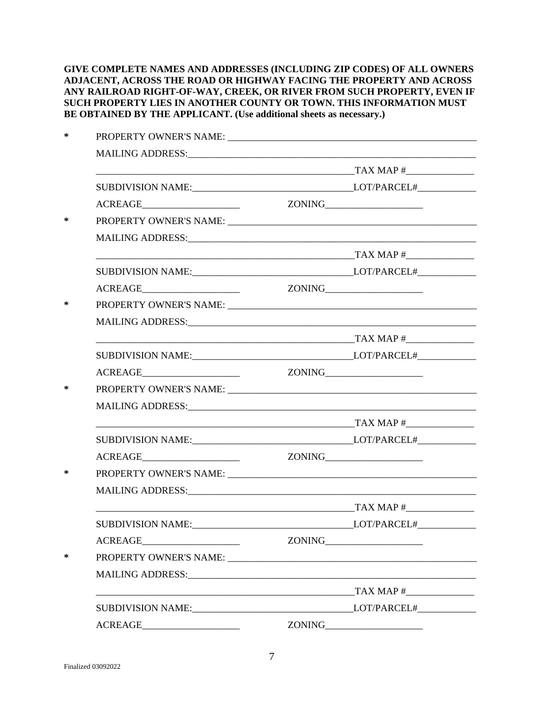**GIVE COMPLETE NAMES AND ADDRESSES (INCLUDING ZIP CODES) OF ALL OWNERS ADJACENT, ACROSS THE ROAD OR HIGHWAY FACING THE PROPERTY AND ACROSS ANY RAILROAD RIGHT-OF-WAY, CREEK, OR RIVER FROM SUCH PROPERTY, EVEN IF SUCH PROPERTY LIES IN ANOTHER COUNTY OR TOWN. THIS INFORMATION MUST BE OBTAINED BY THE APPLICANT. (Use additional sheets as necessary.)**

| $\begin{minipage}{.4\linewidth} ACREAGE \begin{tabular}{l} \multicolumn{2}{c}{} \multicolumn{2}{c}{} \multicolumn{2}{c}{} \multicolumn{2}{c}{} \multicolumn{2}{c}{} \multicolumn{2}{c}{} \multicolumn{2}{c}{} \multicolumn{2}{c}{} \multicolumn{2}{c}{} \multicolumn{2}{c}{} \multicolumn{2}{c}{} \multicolumn{2}{c}{} \multicolumn{2}{c}{} \multicolumn{2}{c}{} \multicolumn{2}{c}{} \multicolumn{2}{c}{} \multicolumn{2}{c}{} \multicolumn{2}{c}{} \multicolumn{2}{c}{} \multicolumn{2}{$ | ZONING |
|---------------------------------------------------------------------------------------------------------------------------------------------------------------------------------------------------------------------------------------------------------------------------------------------------------------------------------------------------------------------------------------------------------------------------------------------------------------------------------------------|--------|
|                                                                                                                                                                                                                                                                                                                                                                                                                                                                                             |        |
|                                                                                                                                                                                                                                                                                                                                                                                                                                                                                             |        |
|                                                                                                                                                                                                                                                                                                                                                                                                                                                                                             |        |
|                                                                                                                                                                                                                                                                                                                                                                                                                                                                                             |        |
|                                                                                                                                                                                                                                                                                                                                                                                                                                                                                             |        |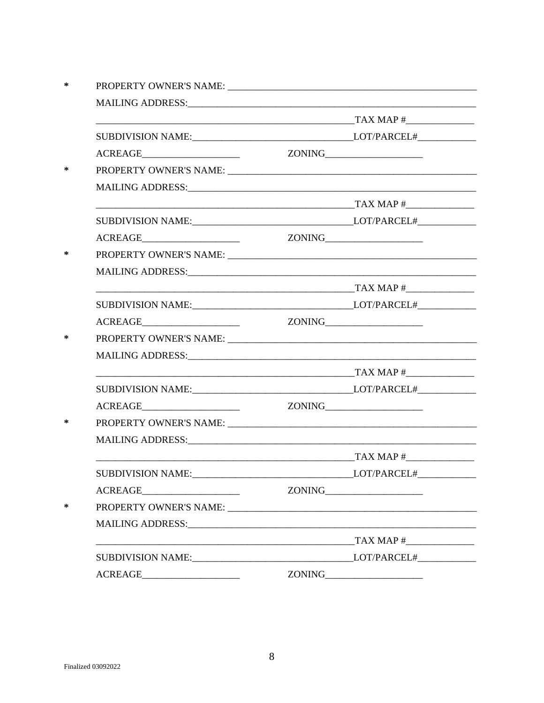|                                                                                                                                                                                                                                                                                                                                                                                                                                                                            |           | ZONING |
|----------------------------------------------------------------------------------------------------------------------------------------------------------------------------------------------------------------------------------------------------------------------------------------------------------------------------------------------------------------------------------------------------------------------------------------------------------------------------|-----------|--------|
|                                                                                                                                                                                                                                                                                                                                                                                                                                                                            |           |        |
|                                                                                                                                                                                                                                                                                                                                                                                                                                                                            |           |        |
|                                                                                                                                                                                                                                                                                                                                                                                                                                                                            |           |        |
| <b>SUBDIVISION NAME:</b>                                                                                                                                                                                                                                                                                                                                                                                                                                                   |           |        |
| $\begin{tabular}{c} ACREAGE \hspace{0.03cm} & \hspace{0.03cm} \multicolumn{3}{c}{} \multicolumn{3}{c}{} \multicolumn{3}{c}{} \multicolumn{3}{c}{} \multicolumn{3}{c}{} \multicolumn{3}{c}{} \multicolumn{3}{c}{} \multicolumn{3}{c}{} \multicolumn{3}{c}{} \multicolumn{3}{c}{} \multicolumn{3}{c}{} \multicolumn{3}{c}{} \multicolumn{3}{c}{} \multicolumn{3}{c}{} \multicolumn{3}{c}{} \multicolumn{3}{c}{} \multicolumn{3}{c}{} \multicolumn{3}{c}{} \multicolumn{3}{c$ |           |        |
|                                                                                                                                                                                                                                                                                                                                                                                                                                                                            |           |        |
|                                                                                                                                                                                                                                                                                                                                                                                                                                                                            |           |        |
|                                                                                                                                                                                                                                                                                                                                                                                                                                                                            | TAX MAP # |        |
|                                                                                                                                                                                                                                                                                                                                                                                                                                                                            |           |        |
|                                                                                                                                                                                                                                                                                                                                                                                                                                                                            |           |        |
|                                                                                                                                                                                                                                                                                                                                                                                                                                                                            |           |        |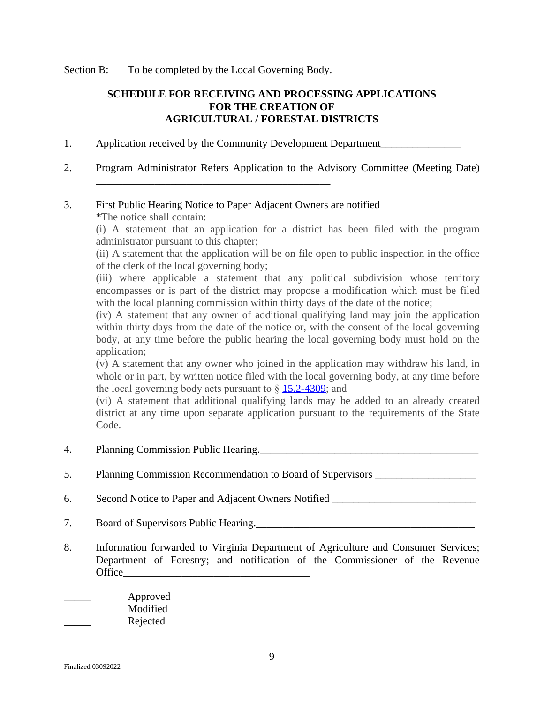Section B: To be completed by the Local Governing Body.

\_\_\_\_\_\_\_\_\_\_\_\_\_\_\_\_\_\_\_\_\_\_\_\_\_\_\_\_\_\_\_\_\_\_\_\_\_\_\_\_\_\_\_\_

## **SCHEDULE FOR RECEIVING AND PROCESSING APPLICATIONS FOR THE CREATION OF AGRICULTURAL / FORESTAL DISTRICTS**

- 1. Application received by the Community Development Department
- 2. Program Administrator Refers Application to the Advisory Committee (Meeting Date)

#### 3. First Public Hearing Notice to Paper Adjacent Owners are notified \_\_\_\_\_\_\_\_\_\_\_\_ \*The notice shall contain:

(i) A statement that an application for a district has been filed with the program administrator pursuant to this chapter;

(ii) A statement that the application will be on file open to public inspection in the office of the clerk of the local governing body;

(iii) where applicable a statement that any political subdivision whose territory encompasses or is part of the district may propose a modification which must be filed with the local planning commission within thirty days of the date of the notice;

(iv) A statement that any owner of additional qualifying land may join the application within thirty days from the date of the notice or, with the consent of the local governing body, at any time before the public hearing the local governing body must hold on the application;

(v) A statement that any owner who joined in the application may withdraw his land, in whole or in part, by written notice filed with the local governing body, at any time before the local governing body acts pursuant to  $\S$  [15.2-4309;](http://law.lis.virginia.gov/vacode/15.2-4309/) and

(vi) A statement that additional qualifying lands may be added to an already created district at any time upon separate application pursuant to the requirements of the State Code.

- 4. Planning Commission Public Hearing.
- 5. Planning Commission Recommendation to Board of Supervisors
- 6. Second Notice to Paper and Adjacent Owners Notified
- 7. Board of Supervisors Public Hearing.
- 8. Information forwarded to Virginia Department of Agriculture and Consumer Services; Department of Forestry; and notification of the Commissioner of the Revenue Office  $\frac{\ }{\ }$

| Approved |
|----------|
| Modified |
| Rejected |